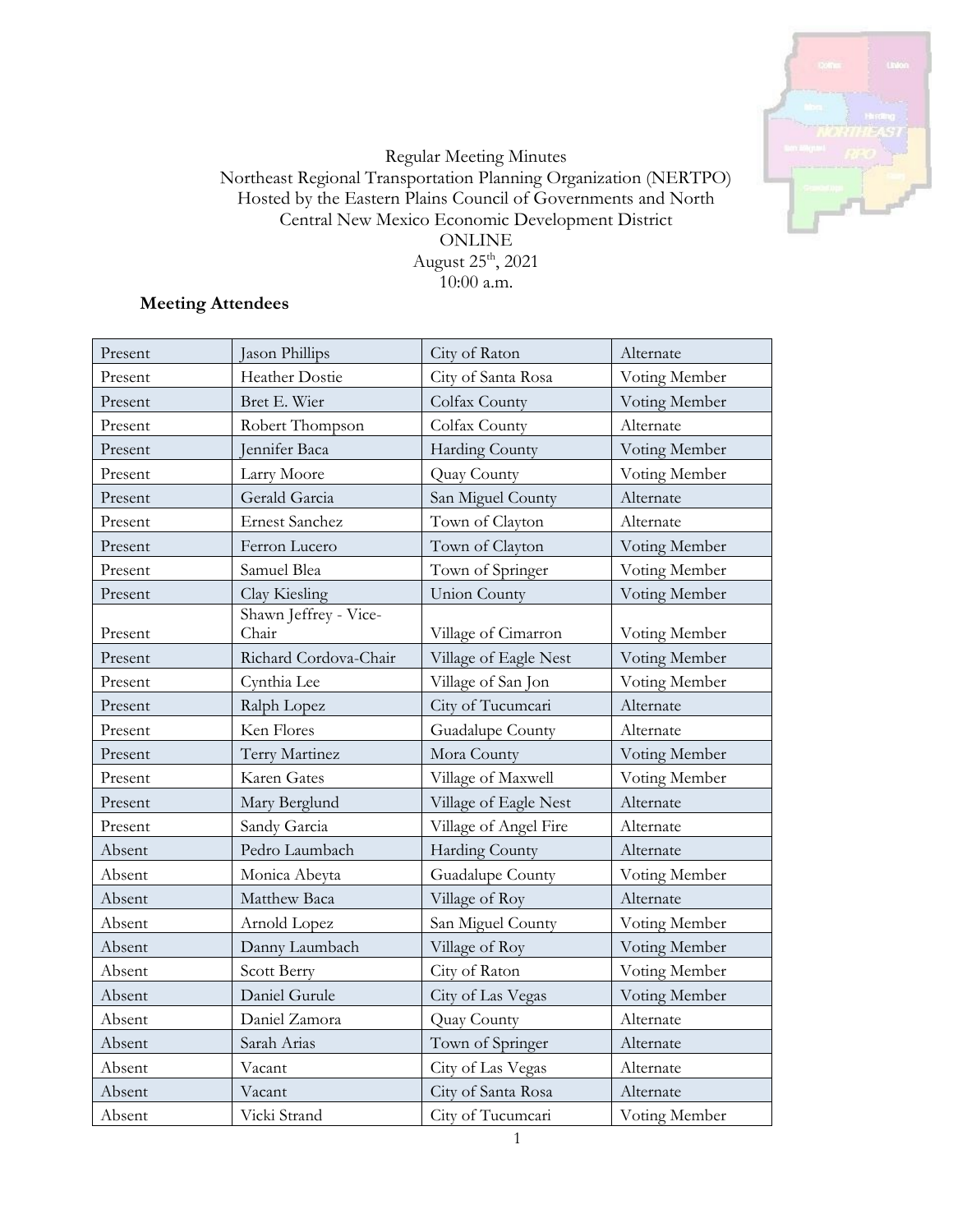

## Regular Meeting Minutes Northeast Regional Transportation Planning Organization (NERTPO) Hosted by the Eastern Plains Council of Governments and North Central New Mexico Economic Development District **ONLINE** August $25^{\rm th}$ , 2021 10:00 a.m.

# **Meeting Attendees**

| Present | Jason Phillips                 | City of Raton         | Alternate     |
|---------|--------------------------------|-----------------------|---------------|
| Present | Heather Dostie                 | City of Santa Rosa    | Voting Member |
| Present | Bret E. Wier                   | Colfax County         | Voting Member |
| Present | Robert Thompson                | Colfax County         | Alternate     |
| Present | Jennifer Baca                  | Harding County        | Voting Member |
| Present | Larry Moore                    | Quay County           | Voting Member |
| Present | Gerald Garcia                  | San Miguel County     | Alternate     |
| Present | <b>Ernest Sanchez</b>          | Town of Clayton       | Alternate     |
| Present | Ferron Lucero                  | Town of Clayton       | Voting Member |
| Present | Samuel Blea                    | Town of Springer      | Voting Member |
| Present | Clay Kiesling                  | <b>Union County</b>   | Voting Member |
| Present | Shawn Jeffrey - Vice-<br>Chair | Village of Cimarron   | Voting Member |
| Present | Richard Cordova-Chair          | Village of Eagle Nest | Voting Member |
| Present | Cynthia Lee                    | Village of San Jon    | Voting Member |
| Present | Ralph Lopez                    | City of Tucumcari     | Alternate     |
| Present | Ken Flores                     | Guadalupe County      | Alternate     |
| Present | Terry Martinez                 | Mora County           | Voting Member |
| Present | Karen Gates                    | Village of Maxwell    | Voting Member |
| Present | Mary Berglund                  | Village of Eagle Nest | Alternate     |
| Present | Sandy Garcia                   | Village of Angel Fire | Alternate     |
| Absent  | Pedro Laumbach                 | Harding County        | Alternate     |
| Absent  | Monica Abeyta                  | Guadalupe County      | Voting Member |
| Absent  | Matthew Baca                   | Village of Roy        | Alternate     |
| Absent  | Arnold Lopez                   | San Miguel County     | Voting Member |
| Absent  | Danny Laumbach                 | Village of Roy        | Voting Member |
| Absent  | Scott Berry                    | City of Raton         | Voting Member |
| Absent  | Daniel Gurule                  | City of Las Vegas     | Voting Member |
| Absent  | Daniel Zamora                  | Quay County           | Alternate     |
| Absent  | Sarah Arias                    | Town of Springer      | Alternate     |
| Absent  | Vacant                         | City of Las Vegas     | Alternate     |
| Absent  | Vacant                         | City of Santa Rosa    | Alternate     |
| Absent  | Vicki Strand                   | City of Tucumcari     | Voting Member |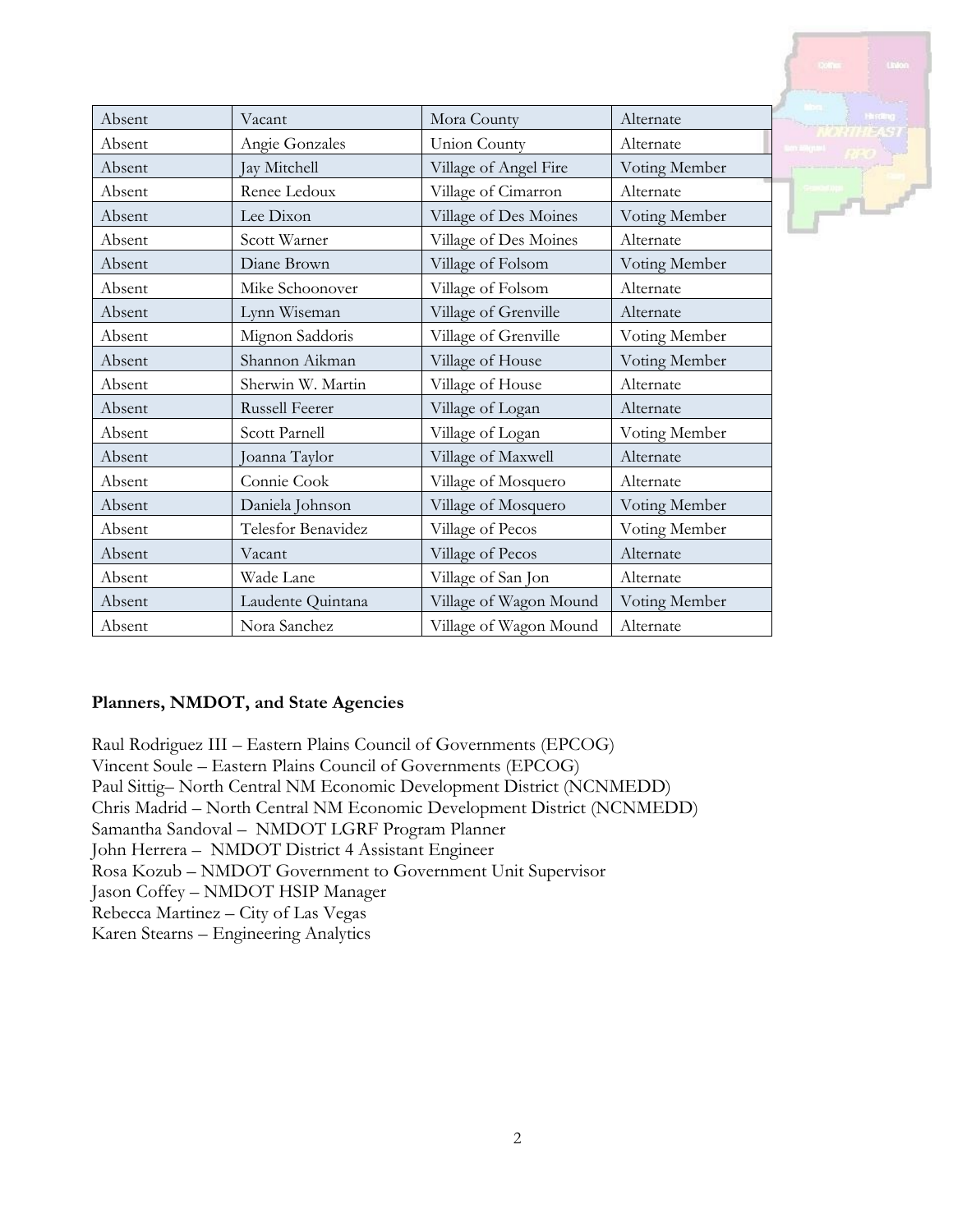| Absent | Vacant                | Mora County            | Alternate     |
|--------|-----------------------|------------------------|---------------|
| Absent | Angie Gonzales        | <b>Union County</b>    | Alternate     |
| Absent | Jay Mitchell          | Village of Angel Fire  | Voting Member |
| Absent | Renee Ledoux          | Village of Cimarron    | Alternate     |
| Absent | Lee Dixon             | Village of Des Moines  | Voting Member |
| Absent | Scott Warner          | Village of Des Moines  | Alternate     |
| Absent | Diane Brown           | Village of Folsom      | Voting Member |
| Absent | Mike Schoonover       | Village of Folsom      | Alternate     |
| Absent | Lynn Wiseman          | Village of Grenville   | Alternate     |
| Absent | Mignon Saddoris       | Village of Grenville   | Voting Member |
| Absent | Shannon Aikman        | Village of House       | Voting Member |
| Absent | Sherwin W. Martin     | Village of House       | Alternate     |
| Absent | <b>Russell Feerer</b> | Village of Logan       | Alternate     |
| Absent | Scott Parnell         | Village of Logan       | Voting Member |
| Absent | Joanna Taylor         | Village of Maxwell     | Alternate     |
| Absent | Connie Cook           | Village of Mosquero    | Alternate     |
| Absent | Daniela Johnson       | Village of Mosquero    | Voting Member |
| Absent | Telesfor Benavidez    | Village of Pecos       | Voting Member |
| Absent | Vacant                | Village of Pecos       | Alternate     |
| Absent | Wade Lane             | Village of San Jon     | Alternate     |
| Absent | Laudente Quintana     | Village of Wagon Mound | Voting Member |
| Absent | Nora Sanchez          | Village of Wagon Mound | Alternate     |

## **Planners, NMDOT, and State Agencies**

Raul Rodriguez III – Eastern Plains Council of Governments (EPCOG) Vincent Soule – Eastern Plains Council of Governments (EPCOG) Paul Sittig– North Central NM Economic Development District (NCNMEDD) Chris Madrid – North Central NM Economic Development District (NCNMEDD) Samantha Sandoval – NMDOT LGRF Program Planner John Herrera – NMDOT District 4 Assistant Engineer Rosa Kozub – NMDOT Government to Government Unit Supervisor Jason Coffey – NMDOT HSIP Manager Rebecca Martinez – City of Las Vegas Karen Stearns – Engineering Analytics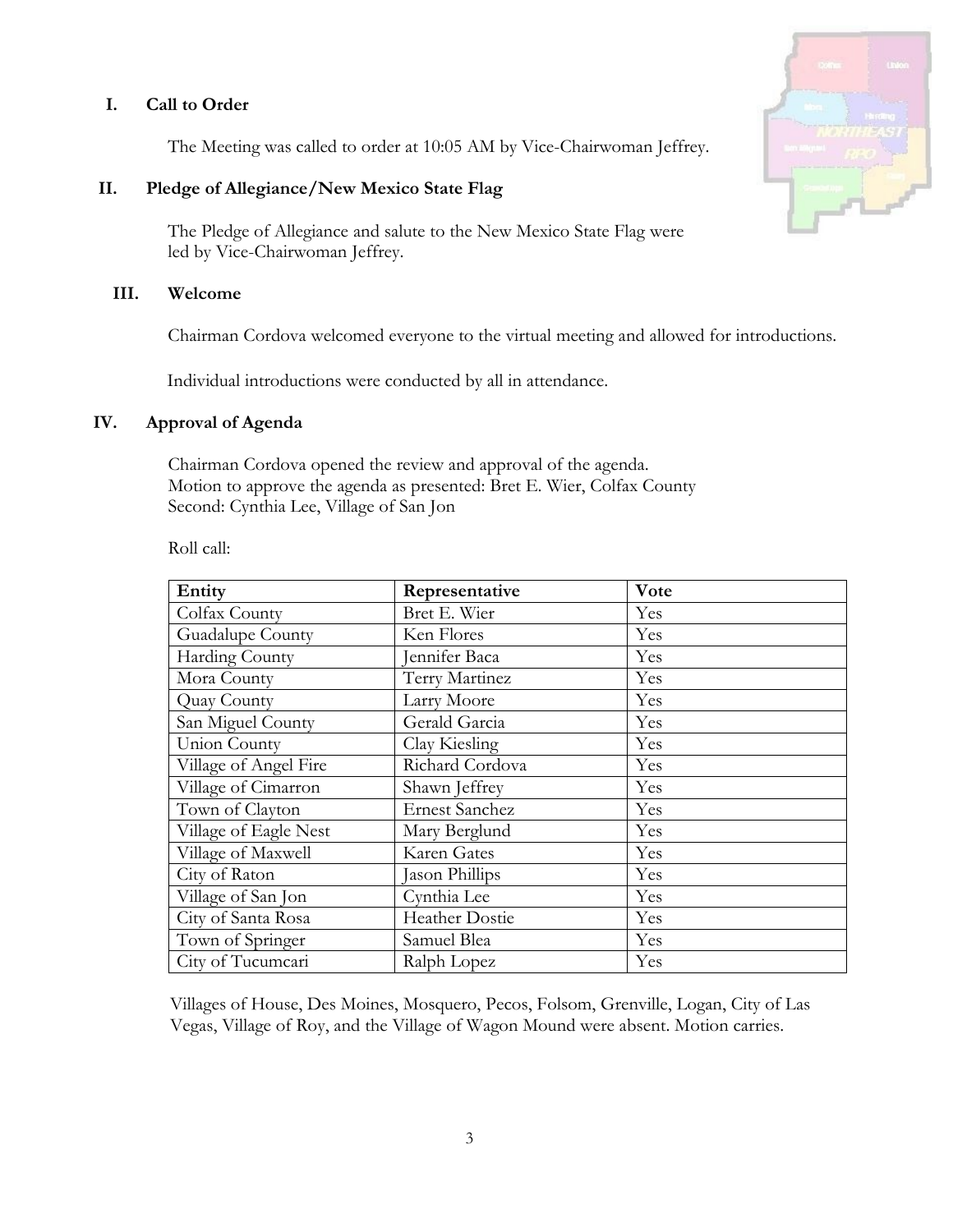## **I. Call to Order**

The Meeting was called to order at 10:05 AM by Vice-Chairwoman Jeffrey.

#### **II. Pledge of Allegiance/New Mexico State Flag**

The Pledge of Allegiance and salute to the New Mexico State Flag were led by Vice-Chairwoman Jeffrey.

#### **III. Welcome**

Chairman Cordova welcomed everyone to the virtual meeting and allowed for introductions.

Individual introductions were conducted by all in attendance.

#### **IV. Approval of Agenda**

Chairman Cordova opened the review and approval of the agenda. Motion to approve the agenda as presented: Bret E. Wier, Colfax County Second: Cynthia Lee, Village of San Jon

Roll call:

| Entity                | Representative        | Vote |
|-----------------------|-----------------------|------|
| Colfax County         | Bret E. Wier          | Yes  |
| Guadalupe County      | Ken Flores            | Yes  |
| Harding County        | Jennifer Baca         | Yes  |
| Mora County           | Terry Martinez        | Yes  |
| Quay County           | Larry Moore           | Yes  |
| San Miguel County     | Gerald Garcia         | Yes  |
| Union County          | Clay Kiesling         | Yes  |
| Village of Angel Fire | Richard Cordova       | Yes  |
| Village of Cimarron   | Shawn Jeffrey         | Yes  |
| Town of Clayton       | <b>Ernest Sanchez</b> | Yes  |
| Village of Eagle Nest | Mary Berglund         | Yes  |
| Village of Maxwell    | Karen Gates           | Yes  |
| City of Raton         | Jason Phillips        | Yes  |
| Village of San Jon    | Cynthia Lee           | Yes  |
| City of Santa Rosa    | <b>Heather Dostie</b> | Yes  |
| Town of Springer      | Samuel Blea           | Yes  |
| City of Tucumcari     | Ralph Lopez           | Yes  |

Villages of House, Des Moines, Mosquero, Pecos, Folsom, Grenville, Logan, City of Las Vegas, Village of Roy, and the Village of Wagon Mound were absent. Motion carries.

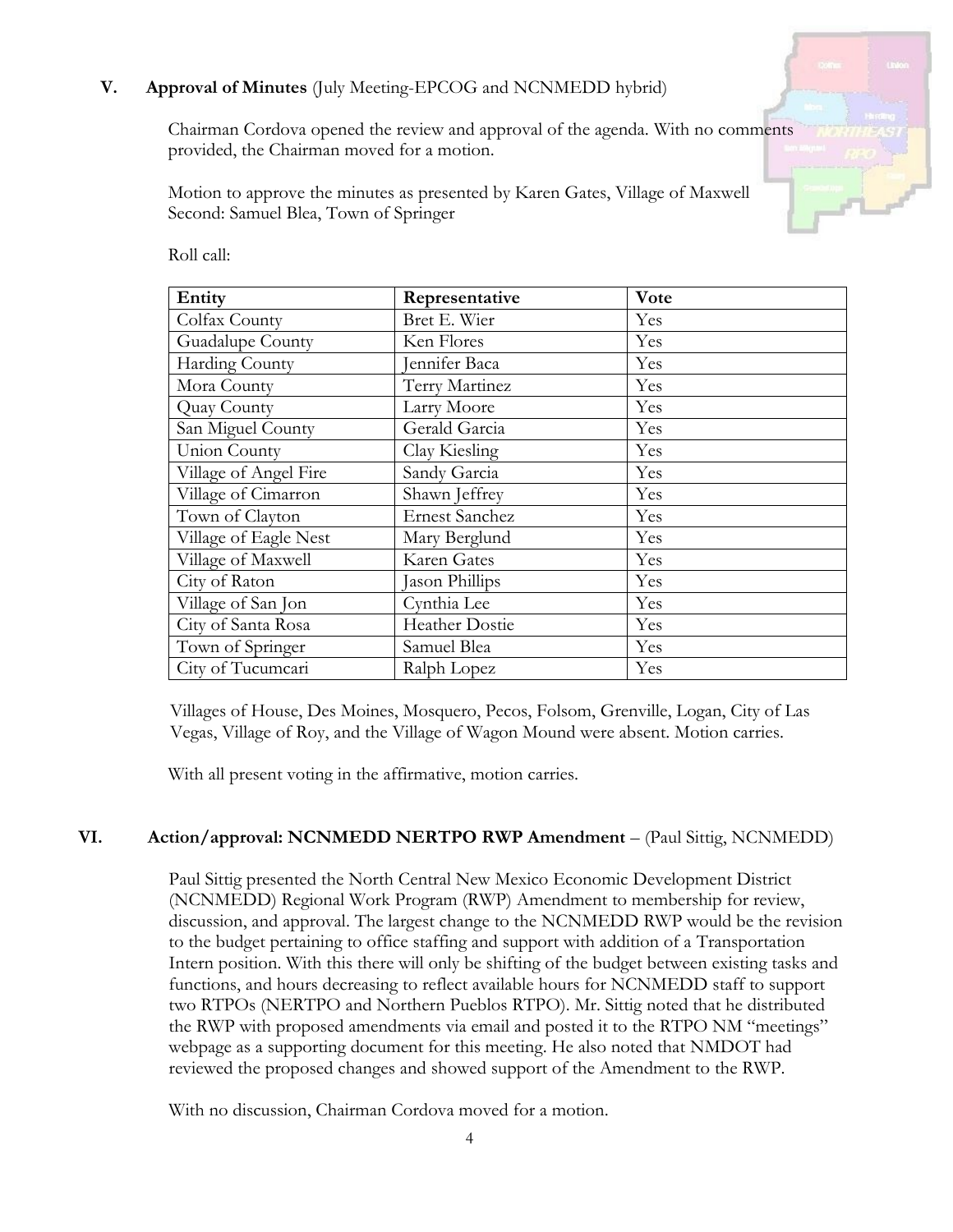# **V. Approval of Minutes** (July Meeting-EPCOG and NCNMEDD hybrid)

Chairman Cordova opened the review and approval of the agenda. With no comments provided, the Chairman moved for a motion.

Motion to approve the minutes as presented by Karen Gates, Village of Maxwell Second: Samuel Blea, Town of Springer

| Entity                | Representative        | Vote |
|-----------------------|-----------------------|------|
| Colfax County         | Bret E. Wier          | Yes  |
| Guadalupe County      | Ken Flores            | Yes  |
| Harding County        | Jennifer Baca         | Yes  |
| Mora County           | Terry Martinez        | Yes  |
| Quay County           | Larry Moore           | Yes  |
| San Miguel County     | Gerald Garcia         | Yes  |
| Union County          | Clay Kiesling         | Yes  |
| Village of Angel Fire | Sandy Garcia          | Yes  |
| Village of Cimarron   | Shawn Jeffrey         | Yes  |
| Town of Clayton       | <b>Ernest Sanchez</b> | Yes  |
| Village of Eagle Nest | Mary Berglund         | Yes  |
| Village of Maxwell    | Karen Gates           | Yes  |
| City of Raton         | Jason Phillips        | Yes  |
| Village of San Jon    | Cynthia Lee           | Yes  |
| City of Santa Rosa    | Heather Dostie        | Yes  |
| Town of Springer      | Samuel Blea           | Yes  |
| City of Tucumcari     | Ralph Lopez           | Yes  |

Roll call:

Villages of House, Des Moines, Mosquero, Pecos, Folsom, Grenville, Logan, City of Las Vegas, Village of Roy, and the Village of Wagon Mound were absent. Motion carries.

With all present voting in the affirmative, motion carries.

#### **VI. Action/approval: NCNMEDD NERTPO RWP Amendment** – (Paul Sittig, NCNMEDD)

Paul Sittig presented the North Central New Mexico Economic Development District (NCNMEDD) Regional Work Program (RWP) Amendment to membership for review, discussion, and approval. The largest change to the NCNMEDD RWP would be the revision to the budget pertaining to office staffing and support with addition of a Transportation Intern position. With this there will only be shifting of the budget between existing tasks and functions, and hours decreasing to reflect available hours for NCNMEDD staff to support two RTPOs (NERTPO and Northern Pueblos RTPO). Mr. Sittig noted that he distributed the RWP with proposed amendments via email and posted it to the RTPO NM "meetings" webpage as a supporting document for this meeting. He also noted that NMDOT had reviewed the proposed changes and showed support of the Amendment to the RWP.

With no discussion, Chairman Cordova moved for a motion.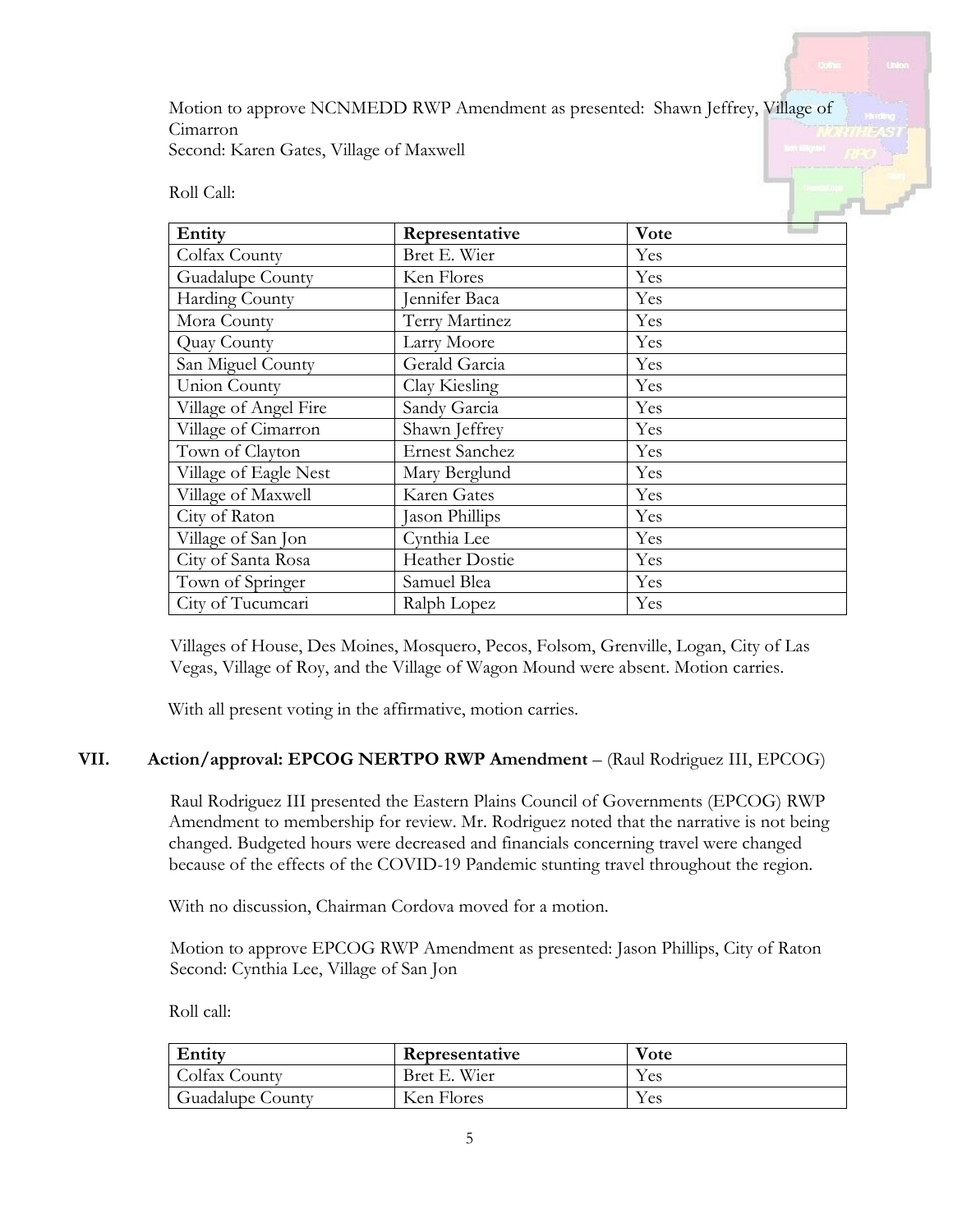Motion to approve NCNMEDD RWP Amendment as presented: Shawn Jeffrey, Village of Cimarron Second: Karen Gates, Village of Maxwell

Roll Call:

| Entity                | Representative        | Vote |
|-----------------------|-----------------------|------|
| Colfax County         | Bret E. Wier          | Yes  |
| Guadalupe County      | Ken Flores            | Yes  |
| Harding County        | ennifer Baca          | Yes  |
| Mora County           | Terry Martinez        | Yes  |
| Quay County           | Larry Moore           | Yes  |
| San Miguel County     | Gerald Garcia         | Yes  |
| <b>Union County</b>   | Clay Kiesling         | Yes  |
| Village of Angel Fire | Sandy Garcia          | Yes  |
| Village of Cimarron   | Shawn Jeffrey         | Yes  |
| Town of Clayton       | <b>Ernest Sanchez</b> | Yes  |
| Village of Eagle Nest | Mary Berglund         | Yes  |
| Village of Maxwell    | Karen Gates           | Yes  |
| City of Raton         | Jason Phillips        | Yes  |
| Village of San Jon    | Cynthia Lee           | Yes  |
| City of Santa Rosa    | <b>Heather Dostie</b> | Yes  |
| Town of Springer      | Samuel Blea           | Yes  |
| City of Tucumcari     | Ralph Lopez           | Yes  |

Villages of House, Des Moines, Mosquero, Pecos, Folsom, Grenville, Logan, City of Las Vegas, Village of Roy, and the Village of Wagon Mound were absent. Motion carries.

With all present voting in the affirmative, motion carries.

## **VII. Action/approval: EPCOG NERTPO RWP Amendment** – (Raul Rodriguez III, EPCOG)

Raul Rodriguez III presented the Eastern Plains Council of Governments (EPCOG) RWP Amendment to membership for review. Mr. Rodriguez noted that the narrative is not being changed. Budgeted hours were decreased and financials concerning travel were changed because of the effects of the COVID-19 Pandemic stunting travel throughout the region.

With no discussion, Chairman Cordova moved for a motion.

Motion to approve EPCOG RWP Amendment as presented: Jason Phillips, City of Raton Second: Cynthia Lee, Village of San Jon

Roll call:

| Entity           | Representative | Vote |
|------------------|----------------|------|
| Colfax County    | Bret E. Wier   | Yes  |
| Guadalupe County | Ken Flores     | Yes  |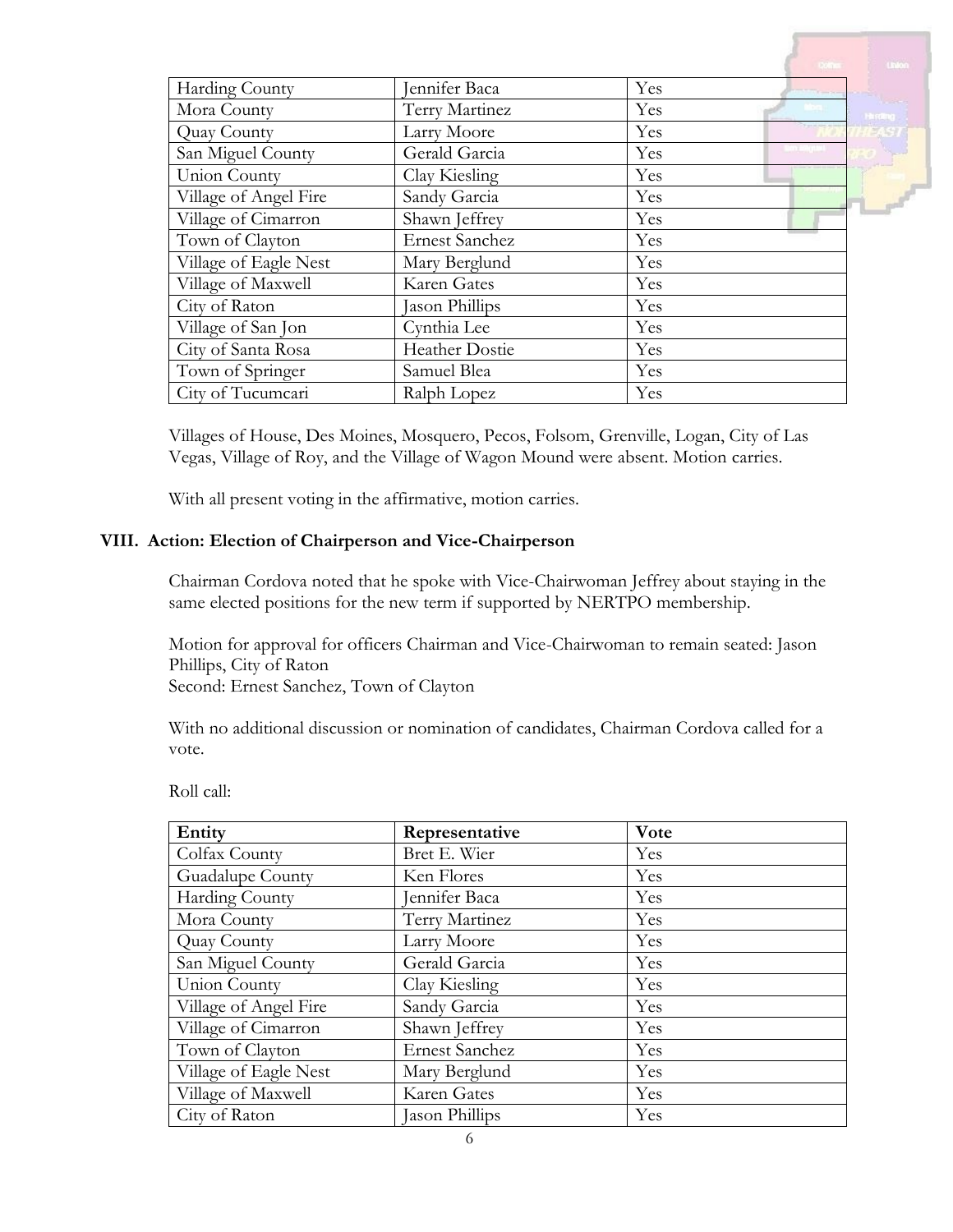|                       |                       |                                          | $U_1$ on         |
|-----------------------|-----------------------|------------------------------------------|------------------|
| Harding County        | Jennifer Baca         | Yes<br>$\lambda = \lambda - \frac{1}{2}$ |                  |
| Mora County           | Terry Martinez        | Yes                                      | <b>His stand</b> |
| Quay County           | Larry Moore           | Yes                                      |                  |
| San Miguel County     | Gerald Garcia         | Yes                                      |                  |
| Union County          | Clay Kiesling         | Yes                                      |                  |
| Village of Angel Fire | Sandy Garcia          | Yes                                      |                  |
| Village of Cimarron   | Shawn Jeffrey         | Yes                                      |                  |
| Town of Clayton       | <b>Ernest Sanchez</b> | Yes                                      |                  |
| Village of Eagle Nest | Mary Berglund         | Yes                                      |                  |
| Village of Maxwell    | Karen Gates           | Yes                                      |                  |
| City of Raton         | Jason Phillips        | Yes                                      |                  |
| Village of San Jon    | Cynthia Lee           | Yes                                      |                  |
| City of Santa Rosa    | <b>Heather Dostie</b> | Yes                                      |                  |
| Town of Springer      | Samuel Blea           | Yes                                      |                  |
| City of Tucumcari     | Ralph Lopez           | Yes                                      |                  |

Villages of House, Des Moines, Mosquero, Pecos, Folsom, Grenville, Logan, City of Las Vegas, Village of Roy, and the Village of Wagon Mound were absent. Motion carries.

With all present voting in the affirmative, motion carries.

## **VIII. Action: Election of Chairperson and Vice-Chairperson**

Chairman Cordova noted that he spoke with Vice-Chairwoman Jeffrey about staying in the same elected positions for the new term if supported by NERTPO membership.

Motion for approval for officers Chairman and Vice-Chairwoman to remain seated: Jason Phillips, City of Raton Second: Ernest Sanchez, Town of Clayton

With no additional discussion or nomination of candidates, Chairman Cordova called for a vote.

Roll call:

| Entity                | Representative        | Vote |
|-----------------------|-----------------------|------|
| Colfax County         | Bret E. Wier          | Yes  |
| Guadalupe County      | Ken Flores            | Yes  |
| Harding County        | Jennifer Baca         | Yes  |
| Mora County           | Terry Martinez        | Yes  |
| Quay County           | Larry Moore           | Yes  |
| San Miguel County     | Gerald Garcia         | Yes  |
| Union County          | Clay Kiesling         | Yes  |
| Village of Angel Fire | Sandy Garcia          | Yes  |
| Village of Cimarron   | Shawn Jeffrey         | Yes  |
| Town of Clayton       | <b>Ernest Sanchez</b> | Yes  |
| Village of Eagle Nest | Mary Berglund         | Yes  |
| Village of Maxwell    | Karen Gates           | Yes  |
| City of Raton         | Jason Phillips        | Yes  |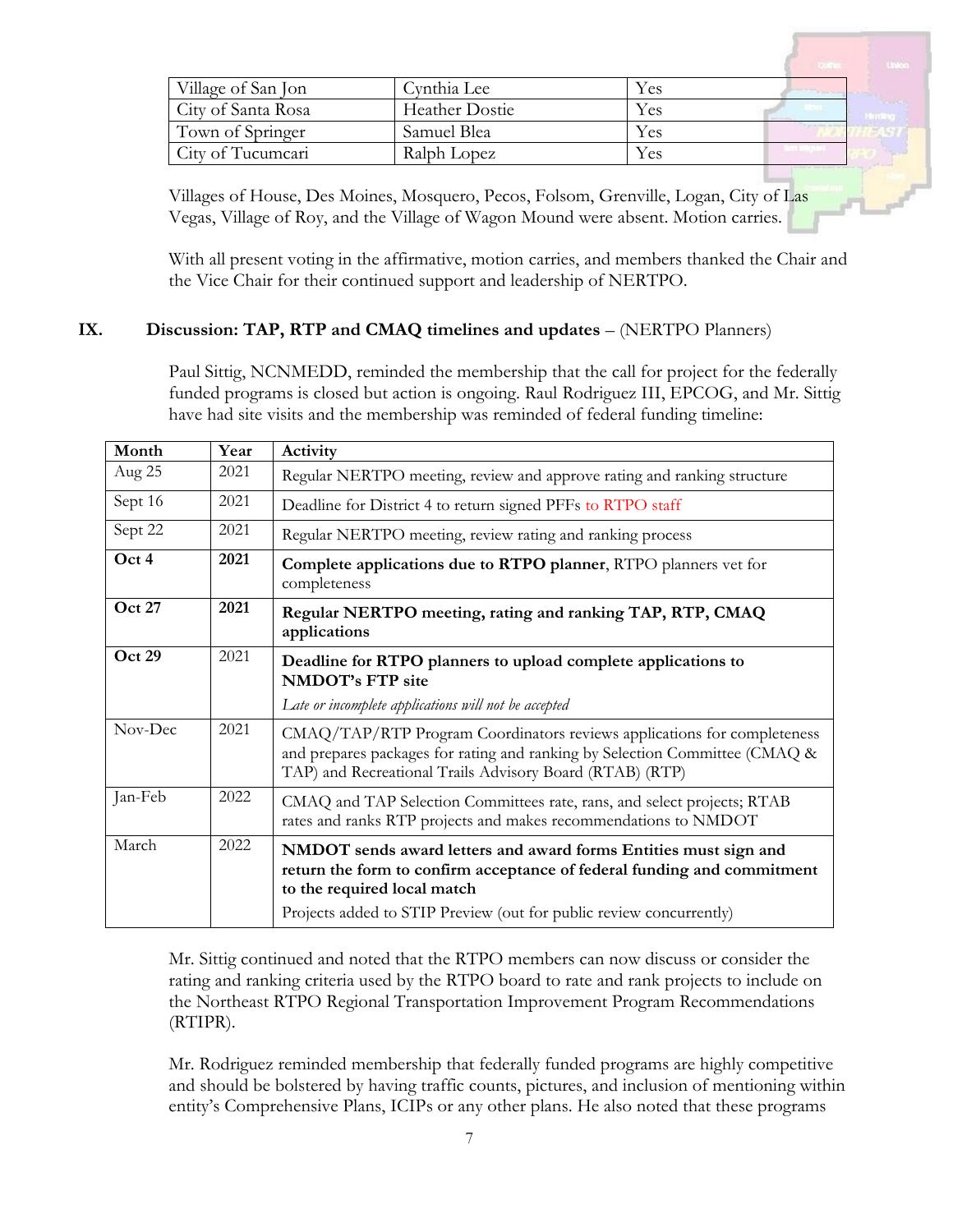| Village of San Jon | Cynthia Lee           | Yes | <b>Change</b> |  |
|--------------------|-----------------------|-----|---------------|--|
| City of Santa Rosa | <b>Heather Dostie</b> | Yes |               |  |
| Town of Springer   | Samuel Blea           | Yes |               |  |
| City of Tucumcari  | Ralph Lopez           | Yes |               |  |

Villages of House, Des Moines, Mosquero, Pecos, Folsom, Grenville, Logan, City of Las Vegas, Village of Roy, and the Village of Wagon Mound were absent. Motion carries.

With all present voting in the affirmative, motion carries, and members thanked the Chair and the Vice Chair for their continued support and leadership of NERTPO.

## **IX. Discussion: TAP, RTP and CMAQ timelines and updates** – (NERTPO Planners)

Paul Sittig, NCNMEDD, reminded the membership that the call for project for the federally funded programs is closed but action is ongoing. Raul Rodriguez III, EPCOG, and Mr. Sittig have had site visits and the membership was reminded of federal funding timeline:

| Month         | Year | Activity                                                                                                                                                                                                                                          |  |
|---------------|------|---------------------------------------------------------------------------------------------------------------------------------------------------------------------------------------------------------------------------------------------------|--|
| Aug 25        | 2021 | Regular NERTPO meeting, review and approve rating and ranking structure                                                                                                                                                                           |  |
| Sept 16       | 2021 | Deadline for District 4 to return signed PFFs to RTPO staff                                                                                                                                                                                       |  |
| Sept 22       | 2021 | Regular NERTPO meeting, review rating and ranking process                                                                                                                                                                                         |  |
| Oct 4         | 2021 | Complete applications due to RTPO planner, RTPO planners vet for<br>completeness                                                                                                                                                                  |  |
| <b>Oct 27</b> | 2021 | Regular NERTPO meeting, rating and ranking TAP, RTP, CMAQ<br>applications                                                                                                                                                                         |  |
| Oct 29        | 2021 | Deadline for RTPO planners to upload complete applications to<br><b>NMDOT's FTP site</b>                                                                                                                                                          |  |
|               |      | Late or incomplete applications will not be accepted                                                                                                                                                                                              |  |
| Nov-Dec       | 2021 | CMAQ/TAP/RTP Program Coordinators reviews applications for completeness<br>and prepares packages for rating and ranking by Selection Committee (CMAQ &<br>TAP) and Recreational Trails Advisory Board (RTAB) (RTP)                                |  |
| Jan-Feb       | 2022 | CMAQ and TAP Selection Committees rate, rans, and select projects; RTAB<br>rates and ranks RTP projects and makes recommendations to NMDOT                                                                                                        |  |
| March         | 2022 | NMDOT sends award letters and award forms Entities must sign and<br>return the form to confirm acceptance of federal funding and commitment<br>to the required local match<br>Projects added to STIP Preview (out for public review concurrently) |  |

Mr. Sittig continued and noted that the RTPO members can now discuss or consider the rating and ranking criteria used by the RTPO board to rate and rank projects to include on the Northeast RTPO Regional Transportation Improvement Program Recommendations (RTIPR).

Mr. Rodriguez reminded membership that federally funded programs are highly competitive and should be bolstered by having traffic counts, pictures, and inclusion of mentioning within entity's Comprehensive Plans, ICIPs or any other plans. He also noted that these programs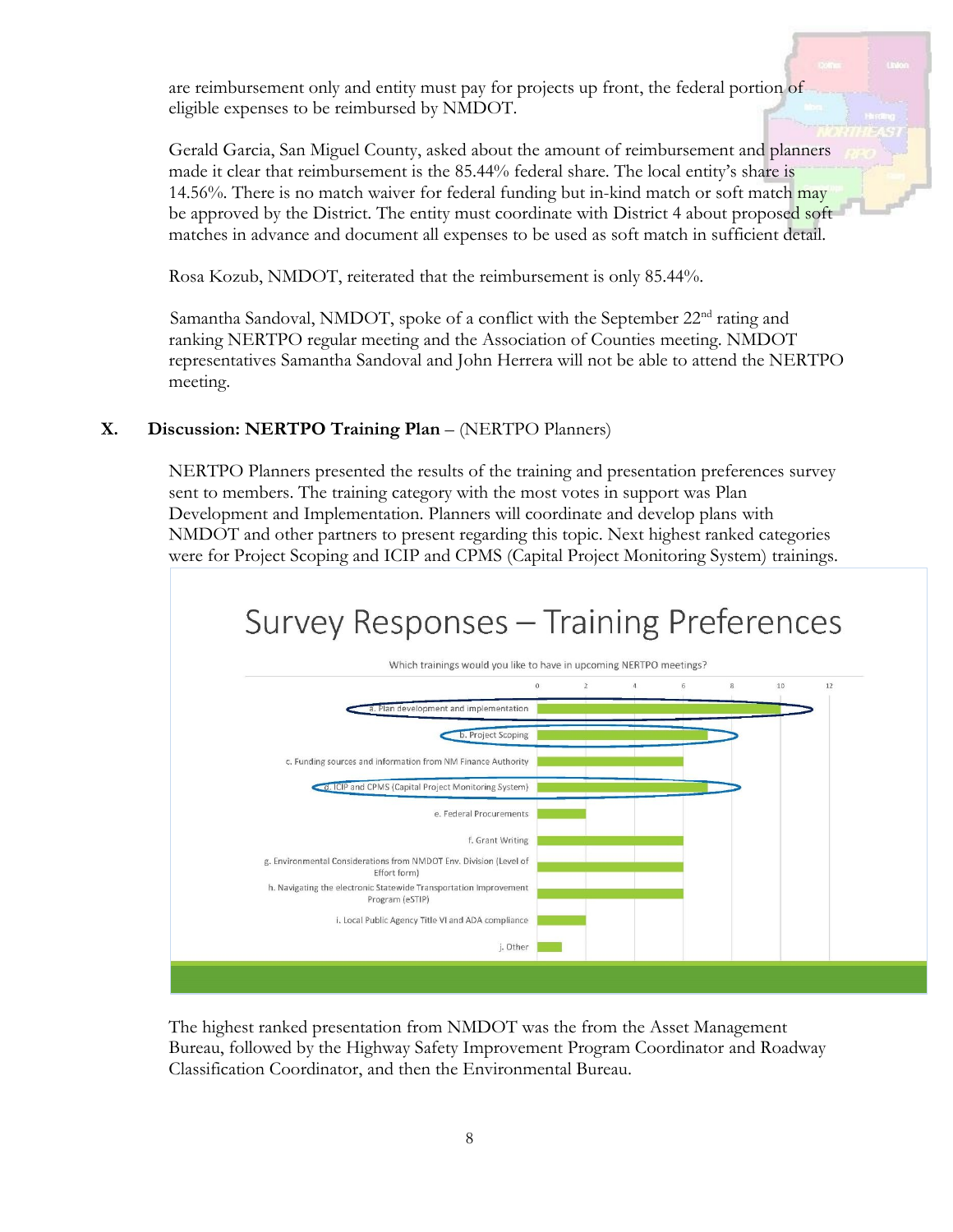are reimbursement only and entity must pay for projects up front, the federal portion of eligible expenses to be reimbursed by NMDOT.

Gerald Garcia, San Miguel County, asked about the amount of reimbursement and planners made it clear that reimbursement is the 85.44% federal share. The local entity's share is 14.56%. There is no match waiver for federal funding but in-kind match or soft match may be approved by the District. The entity must coordinate with District 4 about proposed soft matches in advance and document all expenses to be used as soft match in sufficient detail.

Rosa Kozub, NMDOT, reiterated that the reimbursement is only 85.44%.

Samantha Sandoval, NMDOT, spoke of a conflict with the September  $22<sup>nd</sup>$  rating and ranking NERTPO regular meeting and the Association of Counties meeting. NMDOT representatives Samantha Sandoval and John Herrera will not be able to attend the NERTPO meeting.

# **X. Discussion: NERTPO Training Plan** – (NERTPO Planners)

NERTPO Planners presented the results of the training and presentation preferences survey sent to members. The training category with the most votes in support was Plan Development and Implementation. Planners will coordinate and develop plans with NMDOT and other partners to present regarding this topic. Next highest ranked categories were for Project Scoping and ICIP and CPMS (Capital Project Monitoring System) trainings.



The highest ranked presentation from NMDOT was the from the Asset Management Bureau, followed by the Highway Safety Improvement Program Coordinator and Roadway Classification Coordinator, and then the Environmental Bureau.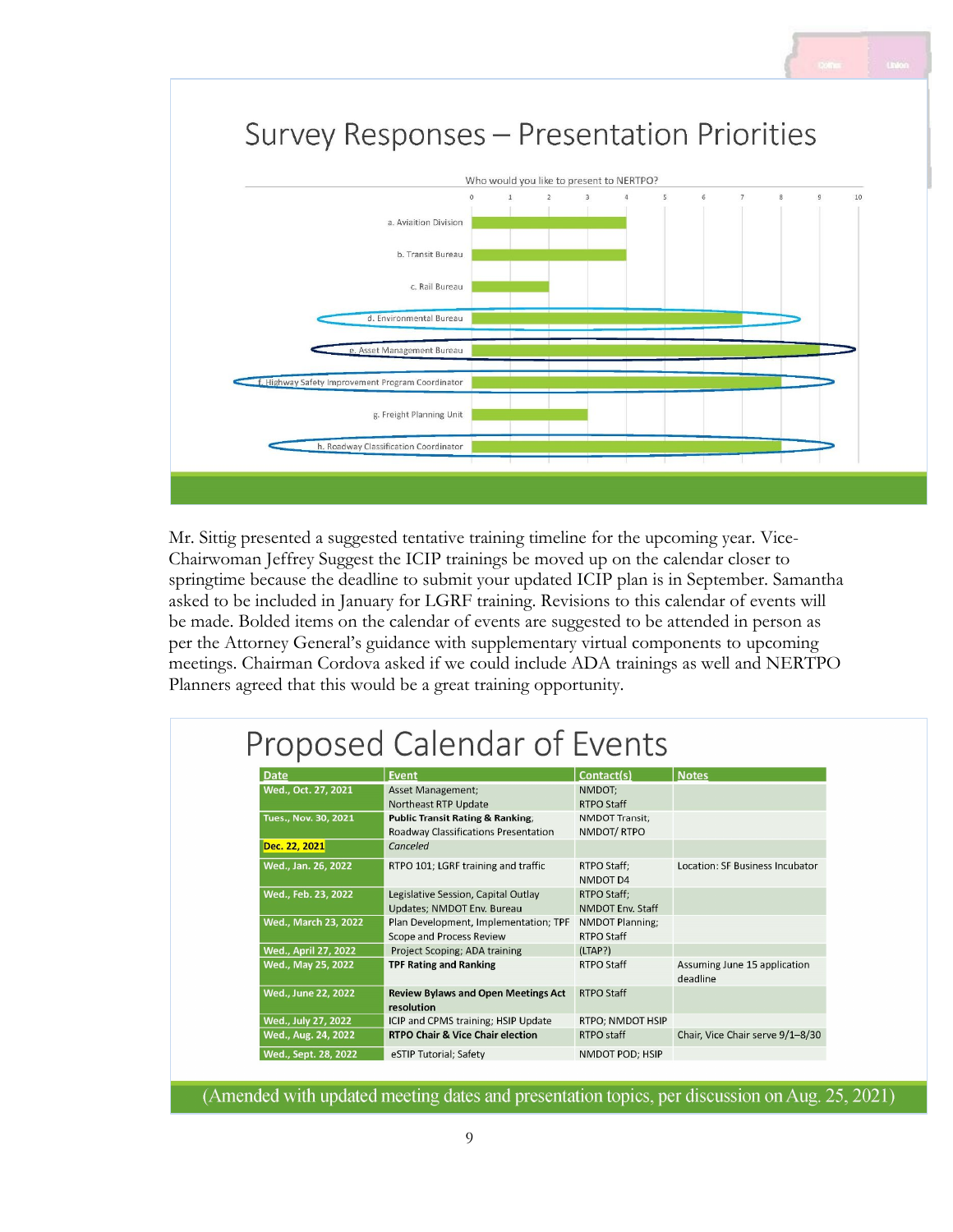

Mr. Sittig presented a suggested tentative training timeline for the upcoming year. Vice-Chairwoman Jeffrey Suggest the ICIP trainings be moved up on the calendar closer to springtime because the deadline to submit your updated ICIP plan is in September. Samantha asked to be included in January for LGRF training. Revisions to this calendar of events will be made. Bolded items on the calendar of events are suggested to be attended in person as per the Attorney General's guidance with supplementary virtual components to upcoming meetings. Chairman Cordova asked if we could include ADA trainings as well and NERTPO Planners agreed that this would be a great training opportunity.

# Proposed Calendar of Events

| Date                 | <b>Event</b>                                | Contact(s)              | <b>Notes</b>                     |
|----------------------|---------------------------------------------|-------------------------|----------------------------------|
| Wed., Oct. 27, 2021  | <b>Asset Management;</b>                    | NMDOT:                  |                                  |
|                      | Northeast RTP Update                        | <b>RTPO Staff</b>       |                                  |
| Tues., Nov. 30, 2021 | <b>Public Transit Rating &amp; Ranking;</b> | <b>NMDOT Transit;</b>   |                                  |
|                      | Roadway Classifications Presentation        | NMDOT/RTPO              |                                  |
| Dec. 22, 2021        | Canceled                                    |                         |                                  |
| Wed., Jan. 26, 2022  | RTPO 101; LGRF training and traffic         | RTPO Staff:             | Location: SF Business Incubator  |
|                      |                                             | NMDOT D4                |                                  |
| Wed., Feb. 23, 2022  | Legislative Session, Capital Outlay         | RTPO Staff:             |                                  |
|                      | Updates; NMDOT Env. Bureau                  | <b>NMDOT Env. Staff</b> |                                  |
| Wed., March 23, 2022 | Plan Development, Implementation; TPF       | NMDOT Planning;         |                                  |
|                      | Scope and Process Review                    | RTPO Staff              |                                  |
| Wed., April 27, 2022 | Project Scoping; ADA training               | (LTAP?)                 |                                  |
| Wed., May 25, 2022   | <b>TPF Rating and Ranking</b>               | RTPO Staff              | Assuming June 15 application     |
|                      |                                             |                         | deadline                         |
| Wed., June 22, 2022  | <b>Review Bylaws and Open Meetings Act</b>  | <b>RTPO Staff</b>       |                                  |
|                      | resolution                                  |                         |                                  |
| Wed., July 27, 2022  | ICIP and CPMS training; HSIP Update         | RTPO; NMDOT HSIP        |                                  |
| Wed., Aug. 24, 2022  | <b>RTPO Chair &amp; Vice Chair election</b> | RTPO staff              | Chair, Vice Chair serve 9/1-8/30 |
| Wed., Sept. 28, 2022 | eSTIP Tutorial; Safety                      | NMDOT POD: HSIP         |                                  |

(Amended with updated meeting dates and presentation topics, per discussion on Aug. 25, 2021)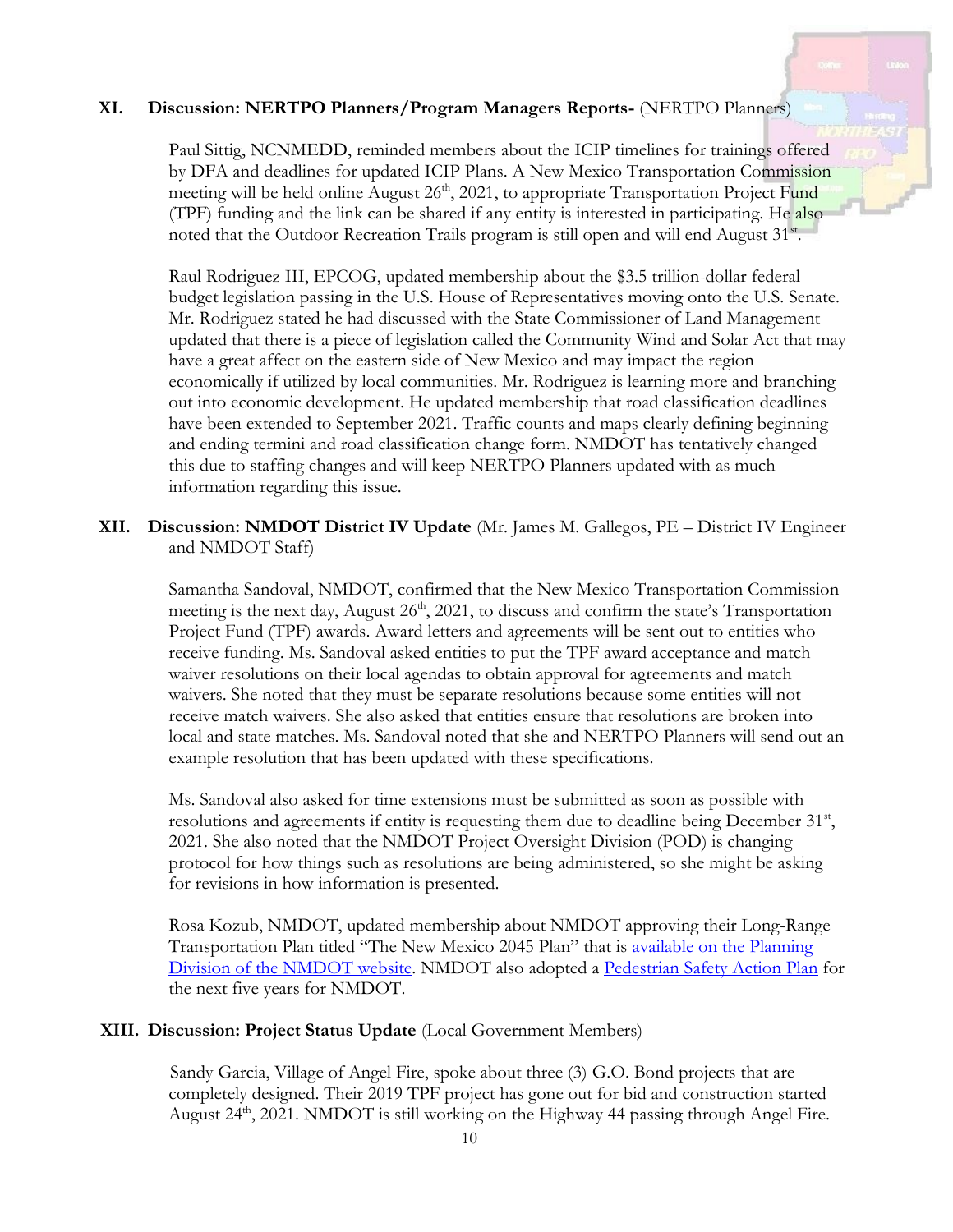#### **XI. Discussion: NERTPO Planners/Program Managers Reports-** (NERTPO Planners)

Paul Sittig, NCNMEDD, reminded members about the ICIP timelines for trainings offered by DFA and deadlines for updated ICIP Plans. A New Mexico Transportation Commission meeting will be held online August 26<sup>th</sup>, 2021, to appropriate Transportation Project Fund (TPF) funding and the link can be shared if any entity is interested in participating. He also noted that the Outdoor Recreation Trails program is still open and will end August 31<sup>st</sup>.

Raul Rodriguez III, EPCOG, updated membership about the \$3.5 trillion-dollar federal budget legislation passing in the U.S. House of Representatives moving onto the U.S. Senate. Mr. Rodriguez stated he had discussed with the State Commissioner of Land Management updated that there is a piece of legislation called the Community Wind and Solar Act that may have a great affect on the eastern side of New Mexico and may impact the region economically if utilized by local communities. Mr. Rodriguez is learning more and branching out into economic development. He updated membership that road classification deadlines have been extended to September 2021. Traffic counts and maps clearly defining beginning and ending termini and road classification change form. NMDOT has tentatively changed this due to staffing changes and will keep NERTPO Planners updated with as much information regarding this issue.

## **XII. Discussion: NMDOT District IV Update** (Mr. James M. Gallegos, PE – District IV Engineer and NMDOT Staff)

Samantha Sandoval, NMDOT, confirmed that the New Mexico Transportation Commission meeting is the next day, August  $26<sup>th</sup>$ , 2021, to discuss and confirm the state's Transportation Project Fund (TPF) awards. Award letters and agreements will be sent out to entities who receive funding. Ms. Sandoval asked entities to put the TPF award acceptance and match waiver resolutions on their local agendas to obtain approval for agreements and match waivers. She noted that they must be separate resolutions because some entities will not receive match waivers. She also asked that entities ensure that resolutions are broken into local and state matches. Ms. Sandoval noted that she and NERTPO Planners will send out an example resolution that has been updated with these specifications.

Ms. Sandoval also asked for time extensions must be submitted as soon as possible with resolutions and agreements if entity is requesting them due to deadline being December 31<sup>st</sup>, 2021. She also noted that the NMDOT Project Oversight Division (POD) is changing protocol for how things such as resolutions are being administered, so she might be asking for revisions in how information is presented.

Rosa Kozub, NMDOT, updated membership about NMDOT approving their Long-Range Transportation Plan titled "The New Mexico 2045 Plan" that is available on the Planning Division of the NMDOT website. NMDOT also adopted a Pedestrian Safety Action Plan for the next five years for NMDOT.

#### **XIII. Discussion: Project Status Update** (Local Government Members)

Sandy Garcia, Village of Angel Fire, spoke about three (3) G.O. Bond projects that are completely designed. Their 2019 TPF project has gone out for bid and construction started August 24<sup>th</sup>, 2021. NMDOT is still working on the Highway 44 passing through Angel Fire.